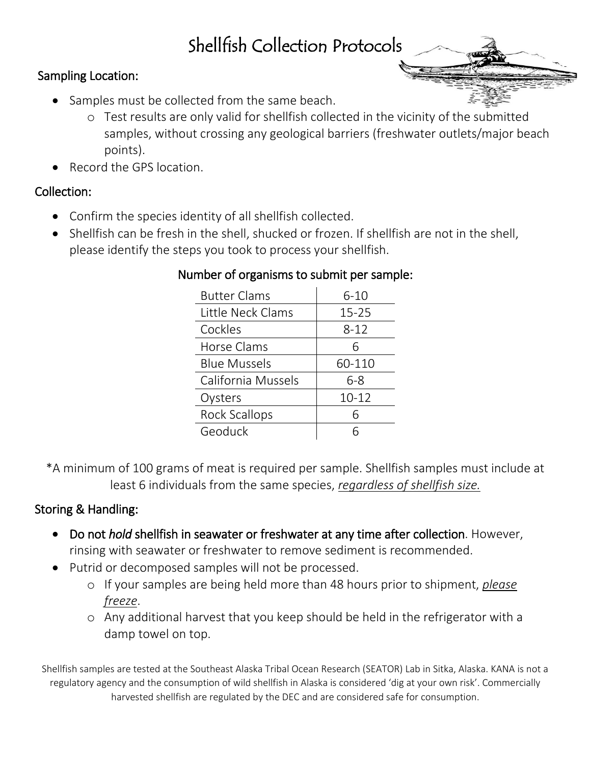# Shellfish Collection Protocols

## Sampling Location:

- Samples must be collected from the same beach.
	- o Test results are only valid for shellfish collected in the vicinity of the submitted samples, without crossing any geological barriers (freshwater outlets/major beach points).
- Record the GPS location.

## Collection:

- Confirm the species identity of all shellfish collected.
- Shellfish can be fresh in the shell, shucked or frozen. If shellfish are not in the shell, please identify the steps you took to process your shellfish.

| <b>Butter Clams</b>  | $6 - 10$  |
|----------------------|-----------|
| Little Neck Clams    | $15 - 25$ |
| Cockles              | $8 - 12$  |
| Horse Clams          | 6         |
| <b>Blue Mussels</b>  | 60-110    |
| California Mussels   | $6 - 8$   |
| Oysters              | $10 - 12$ |
| <b>Rock Scallops</b> |           |
| Geoduck              |           |

### Number of organisms to submit per sample:

\*A minimum of 100 grams of meat is required per sample. Shellfish samples must include at least 6 individuals from the same species, *regardless of shellfish size.*

# Storing & Handling:

- Do not *hold* shellfish in seawater or freshwater at any time after collection. However, rinsing with seawater or freshwater to remove sediment is recommended.
- Putrid or decomposed samples will not be processed.
	- o If your samples are being held more than 48 hours prior to shipment, *please freeze*.
	- o Any additional harvest that you keep should be held in the refrigerator with a damp towel on top.

Shellfish samples are tested at the Southeast Alaska Tribal Ocean Research (SEATOR) Lab in Sitka, Alaska. KANA is not a regulatory agency and the consumption of wild shellfish in Alaska is considered 'dig at your own risk'. Commercially harvested shellfish are regulated by the DEC and are considered safe for consumption.